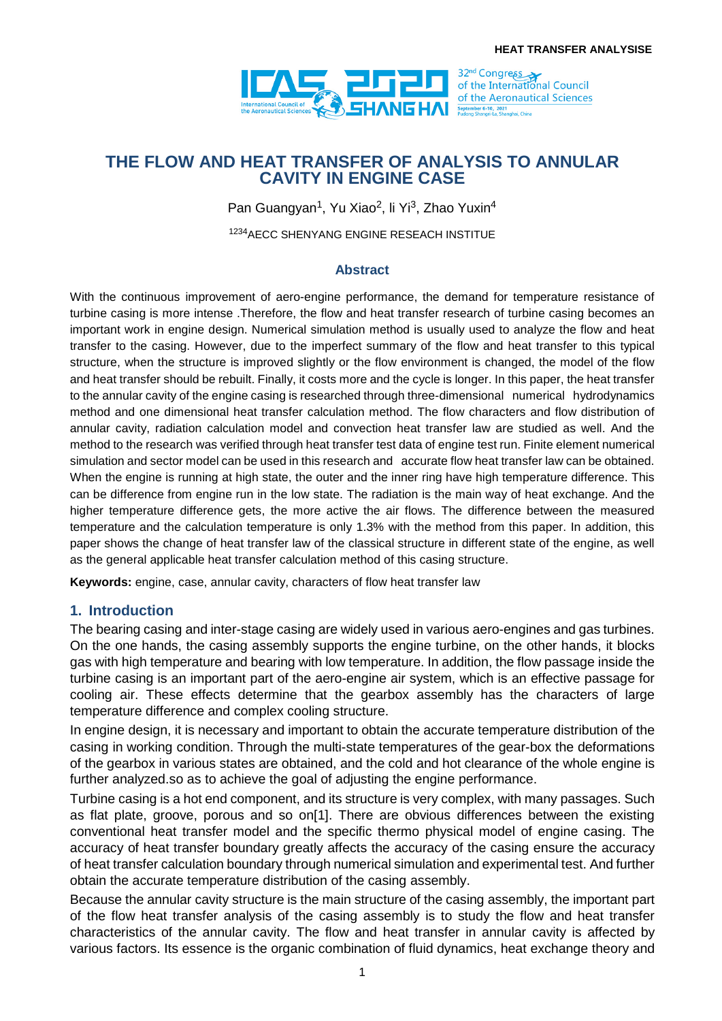

# **THE FLOW AND HEAT TRANSFER OF ANALYSIS TO ANNULAR CAVITY IN ENGINE CASE**

Pan Guangyan<sup>1</sup>, Yu Xiao<sup>2</sup>, li Yi<sup>3</sup>, Zhao Yuxin<sup>4</sup>

1234AECC SHENYANG ENGINE RESEACH INSTITUE

#### **Abstract**

With the continuous improvement of aero-engine performance, the demand for temperature resistance of turbine casing is more intense .Therefore, the flow and heat transfer research of turbine casing becomes an important work in engine design. Numerical simulation method is usually used to analyze the flow and heat transfer to the casing. However, due to the imperfect summary of the flow and heat transfer to this typical structure, when the structure is improved slightly or the flow environment is changed, the model of the flow and heat transfer should be rebuilt. Finally, it costs more and the cycle is longer. In this paper, the heat transfer to the annular cavity of the engine casing is researched through three-dimensional numerical hydrodynamics method and one dimensional heat transfer calculation method. The flow characters and flow distribution of annular cavity, radiation calculation model and convection heat transfer law are studied as well. And the method to the research was verified through heat transfer test data of engine test run. Finite element numerical simulation and sector model can be used in this research and accurate flow heat transfer law can be obtained. When the engine is running at high state, the outer and the inner ring have high temperature difference. This can be difference from engine run in the low state. The radiation is the main way of heat exchange. And the higher temperature difference gets, the more active the air flows. The difference between the measured temperature and the calculation temperature is only 1.3% with the method from this paper. In addition, this paper shows the change of heat transfer law of the classical structure in different state of the engine, as well as the general applicable heat transfer calculation method of this casing structure.

**Keywords:** engine, case, annular cavity, characters of flow heat transfer law

#### **1. Introduction**

The bearing casing and inter-stage casing are widely used in various aero-engines and gas turbines. On the one hands, the casing assembly supports the engine turbine, on the other hands, it blocks gas with high temperature and bearing with low temperature. In addition, the flow passage inside the turbine casing is an important part of the aero-engine air system, which is an effective passage for cooling air. These effects determine that the gearbox assembly has the characters of large temperature difference and complex cooling structure.

In engine design, it is necessary and important to obtain the accurate temperature distribution of the casing in working condition. Through the multi-state temperatures of the gear-box the deformations of the gearbox in various states are obtained, and the cold and hot clearance of the whole engine is further analyzed.so as to achieve the goal of adjusting the engine performance.

Turbine casing is a hot end component, and its structure is very complex, with many passages. Such as flat plate, groove, porous and so on[1]. There are obvious differences between the existing conventional heat transfer model and the specific thermo physical model of engine casing. The accuracy of heat transfer boundary greatly affects the accuracy of the casing ensure the accuracy of heat transfer calculation boundary through numerical simulation and experimental test. And further obtain the accurate temperature distribution of the casing assembly.

Because the annular cavity structure is the main structure of the casing assembly, the important part of the flow heat transfer analysis of the casing assembly is to study the flow and heat transfer characteristics of the annular cavity. The flow and heat transfer in annular cavity is affected by various factors. Its essence is the organic combination of fluid dynamics, heat exchange theory and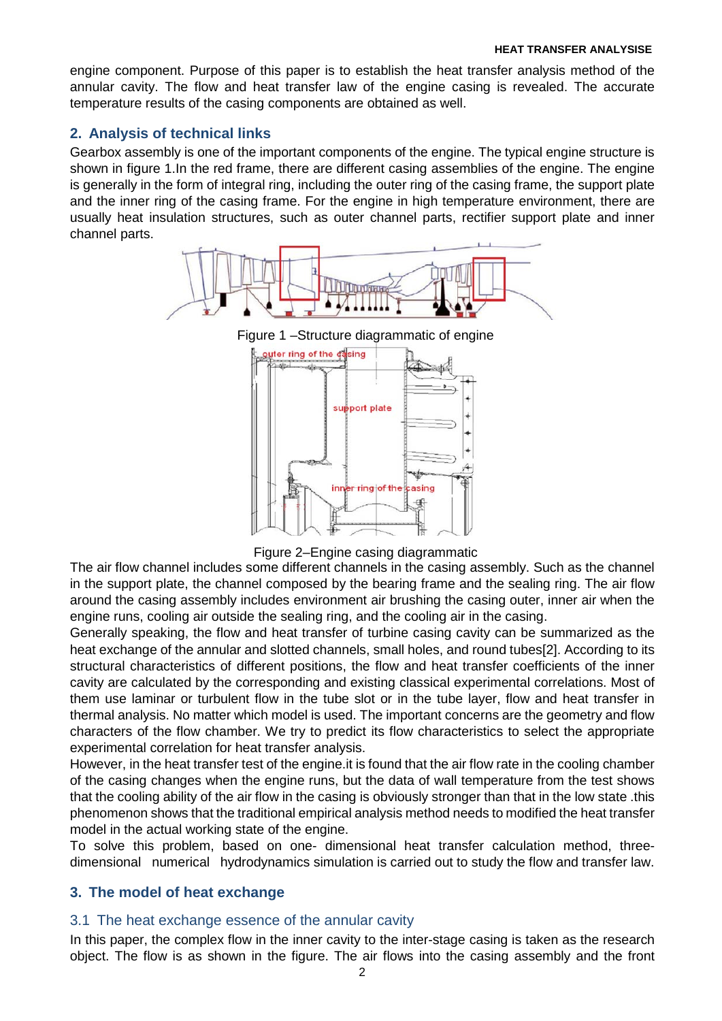engine component. Purpose of this paper is to establish the heat transfer analysis method of the annular cavity. The flow and heat transfer law of the engine casing is revealed. The accurate temperature results of the casing components are obtained as well.

# **2. Analysis of technical links**

Gearbox assembly is one of the important components of the engine. The typical engine structure is shown in figure 1.In the red frame, there are different casing assemblies of the engine. The engine is generally in the form of integral ring, including the outer ring of the casing frame, the support plate and the inner ring of the casing frame. For the engine in high temperature environment, there are usually heat insulation structures, such as outer channel parts, rectifier support plate and inner channel parts.



Figure 2–Engine casing diagrammatic

The air flow channel includes some different channels in the casing assembly. Such as the channel in the support plate, the channel composed by the bearing frame and the sealing ring. The air flow around the casing assembly includes environment air brushing the casing outer, inner air when the engine runs, cooling air outside the sealing ring, and the cooling air in the casing.

Generally speaking, the flow and heat transfer of turbine casing cavity can be summarized as the heat exchange of the annular and slotted channels, small holes, and round tubes[2]. According to its structural characteristics of different positions, the flow and heat transfer coefficients of the inner cavity are calculated by the corresponding and existing classical experimental correlations. Most of them use laminar or turbulent flow in the tube slot or in the tube layer, flow and heat transfer in thermal analysis. No matter which model is used. The important concerns are the geometry and flow characters of the flow chamber. We try to predict its flow characteristics to select the appropriate experimental correlation for heat transfer analysis.

However, in the heat transfer test of the engine.it is found that the air flow rate in the cooling chamber of the casing changes when the engine runs, but the data of wall temperature from the test shows that the cooling ability of the air flow in the casing is obviously stronger than that in the low state .this phenomenon shows that the traditional empirical analysis method needs to modified the heat transfer model in the actual working state of the engine.

To solve this problem, based on one- dimensional heat transfer calculation method, threedimensional numerical hydrodynamics simulation is carried out to study the flow and transfer law.

## **3. The model of heat exchange**

### 3.1 The heat exchange essence of the annular cavity

In this paper, the complex flow in the inner cavity to the inter-stage casing is taken as the research object. The flow is as shown in the figure. The air flows into the casing assembly and the front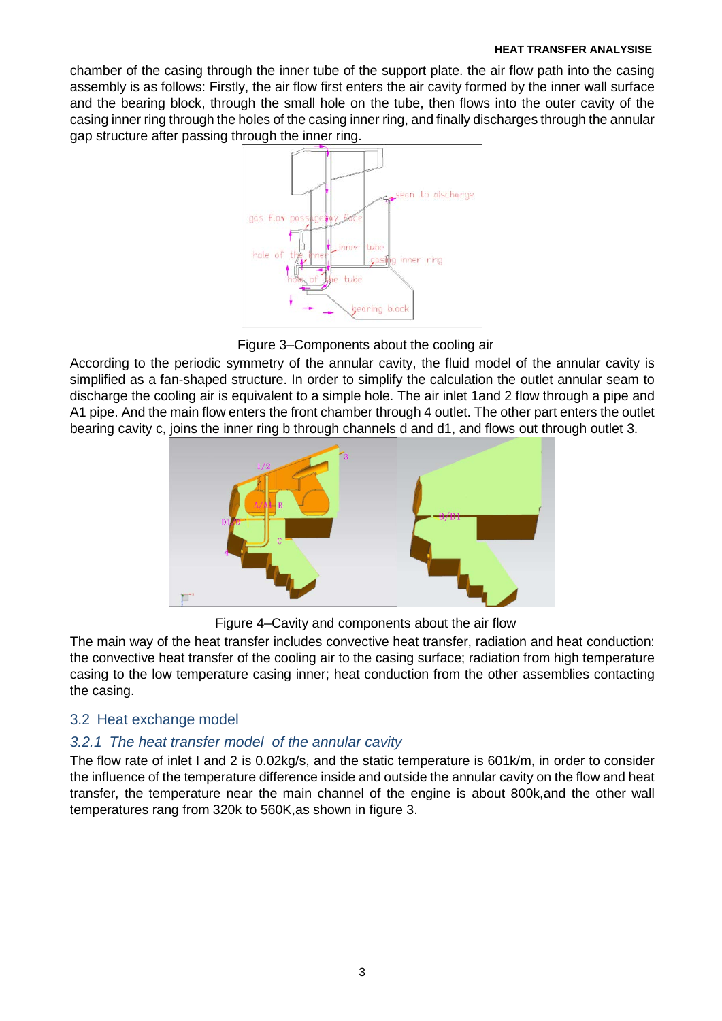#### **HEAT TRANSFER ANALYSISE**

chamber of the casing through the inner tube of the support plate. the air flow path into the casing assembly is as follows: Firstly, the air flow first enters the air cavity formed by the inner wall surface and the bearing block, through the small hole on the tube, then flows into the outer cavity of the casing inner ring through the holes of the casing inner ring, and finally discharges through the annular gap structure after passing through the inner ring.



Figure 3–Components about the cooling air

According to the periodic symmetry of the annular cavity, the fluid model of the annular cavity is simplified as a fan-shaped structure. In order to simplify the calculation the outlet annular seam to discharge the cooling air is equivalent to a simple hole. The air inlet 1and 2 flow through a pipe and A1 pipe. And the main flow enters the front chamber through 4 outlet. The other part enters the outlet bearing cavity c, joins the inner ring b through channels d and d1, and flows out through outlet 3.



Figure 4–Cavity and components about the air flow

The main way of the heat transfer includes convective heat transfer, radiation and heat conduction: the convective heat transfer of the cooling air to the casing surface; radiation from high temperature casing to the low temperature casing inner; heat conduction from the other assemblies contacting the casing.

## 3.2 Heat exchange model

## *3.2.1 The heat transfer model of the annular cavity*

The flow rate of inlet I and 2 is 0.02kg/s, and the static temperature is 601k/m, in order to consider the influence of the temperature difference inside and outside the annular cavity on the flow and heat transfer, the temperature near the main channel of the engine is about 800k,and the other wall temperatures rang from 320k to 560K,as shown in figure 3.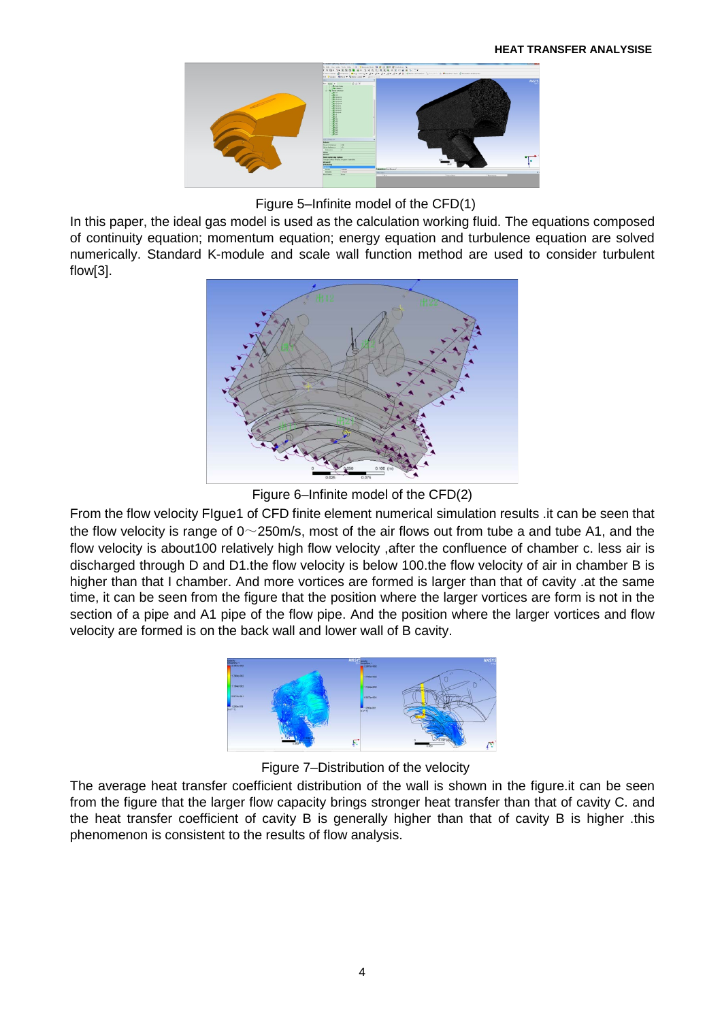

Figure 5–Infinite model of the CFD(1)

In this paper, the ideal gas model is used as the calculation working fluid. The equations composed of continuity equation; momentum equation; energy equation and turbulence equation are solved numerically. Standard K-module and scale wall function method are used to consider turbulent flow[3].



Figure 6–Infinite model of the CFD(2)

From the flow velocity FIgue1 of CFD finite element numerical simulation results .it can be seen that the flow velocity is range of  $0 \sim 250$  m/s, most of the air flows out from tube a and tube A1, and the flow velocity is about100 relatively high flow velocity ,after the confluence of chamber c. less air is discharged through D and D1.the flow velocity is below 100.the flow velocity of air in chamber B is higher than that I chamber. And more vortices are formed is larger than that of cavity .at the same time, it can be seen from the figure that the position where the larger vortices are form is not in the section of a pipe and A1 pipe of the flow pipe. And the position where the larger vortices and flow velocity are formed is on the back wall and lower wall of B cavity.



Figure 7–Distribution of the velocity

The average heat transfer coefficient distribution of the wall is shown in the figure.it can be seen from the figure that the larger flow capacity brings stronger heat transfer than that of cavity C. and the heat transfer coefficient of cavity B is generally higher than that of cavity B is higher .this phenomenon is consistent to the results of flow analysis.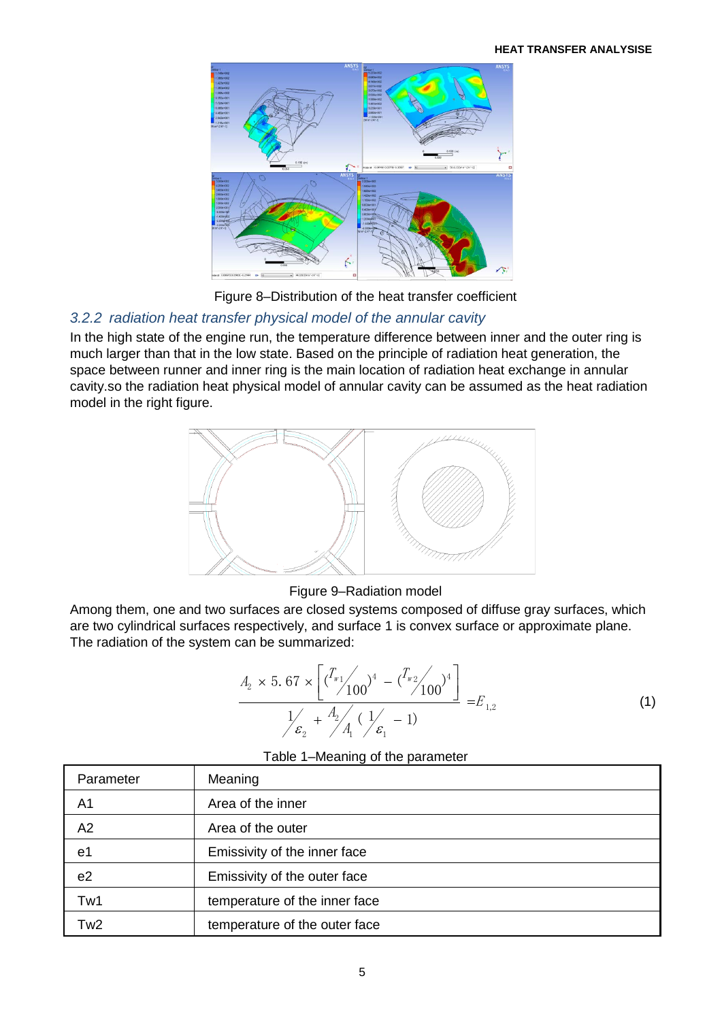

Figure 8–Distribution of the heat transfer coefficient

# *3.2.2 radiation heat transfer physical model of the annular cavity*

In the high state of the engine run, the temperature difference between inner and the outer ring is much larger than that in the low state. Based on the principle of radiation heat generation, the space between runner and inner ring is the main location of radiation heat exchange in annular cavity.so the radiation heat physical model of annular cavity can be assumed as the heat radiation model in the right figure.



### Figure 9–Radiation model

Among them, one and two surfaces are closed systems composed of diffuse gray surfaces, which are two cylindrical surfaces respectively, and surface 1 is convex surface or approximate plane. The radiation of the system can be summarized:

$$
\frac{A_2 \times 5.67 \times \left[ \left( \frac{T_{w_1}}{100} \right)^4 - \left( \frac{T_{w_2}}{100} \right)^4 \right]}{1/\epsilon_2 + \frac{A_2}{A_1} \left( \frac{1}{\epsilon_1} - 1 \right)} = E_{1,2}
$$
\n(1)

### Table 1–Meaning of the parameter

| Parameter      | Meaning                       |  |
|----------------|-------------------------------|--|
| A <sub>1</sub> | Area of the inner             |  |
| A2             | Area of the outer             |  |
| e1             | Emissivity of the inner face  |  |
| e <sub>2</sub> | Emissivity of the outer face  |  |
| Tw1            | temperature of the inner face |  |
| Tw2            | temperature of the outer face |  |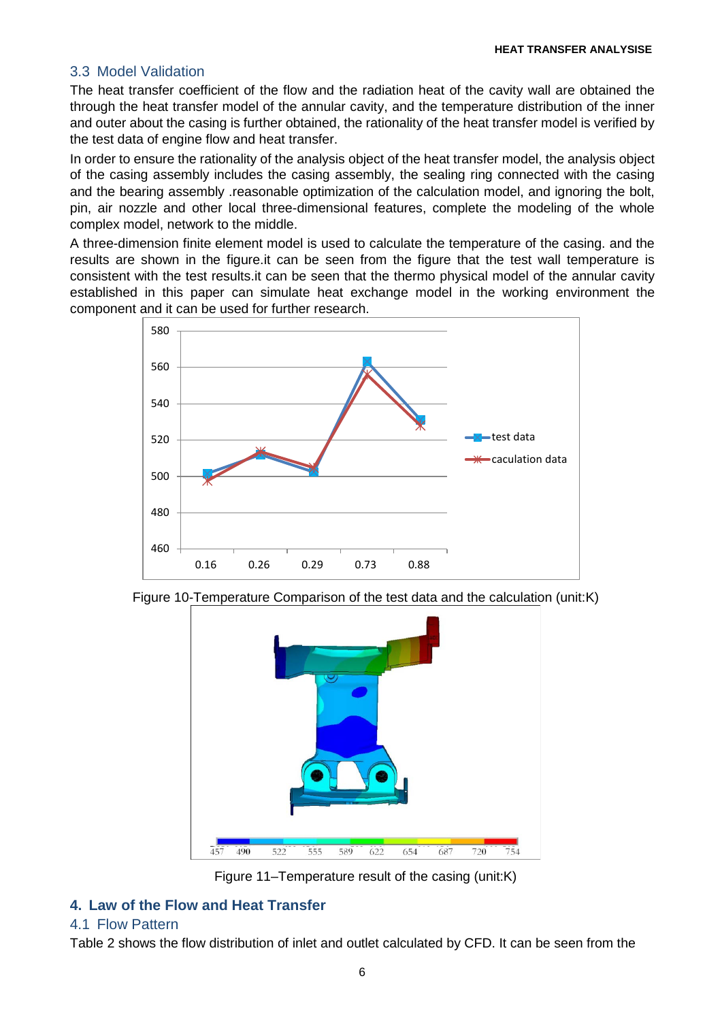### 3.3 Model Validation

The heat transfer coefficient of the flow and the radiation heat of the cavity wall are obtained the through the heat transfer model of the annular cavity, and the temperature distribution of the inner and outer about the casing is further obtained, the rationality of the heat transfer model is verified by the test data of engine flow and heat transfer.

In order to ensure the rationality of the analysis object of the heat transfer model, the analysis object of the casing assembly includes the casing assembly, the sealing ring connected with the casing and the bearing assembly .reasonable optimization of the calculation model, and ignoring the bolt, pin, air nozzle and other local three-dimensional features, complete the modeling of the whole complex model, network to the middle.

A three-dimension finite element model is used to calculate the temperature of the casing. and the results are shown in the figure.it can be seen from the figure that the test wall temperature is consistent with the test results.it can be seen that the thermo physical model of the annular cavity established in this paper can simulate heat exchange model in the working environment the component and it can be used for further research.







Figure 11–Temperature result of the casing (unit:K)

# **4. Law of the Flow and Heat Transfer**

### 4.1 Flow Pattern

Table 2 shows the flow distribution of inlet and outlet calculated by CFD. It can be seen from the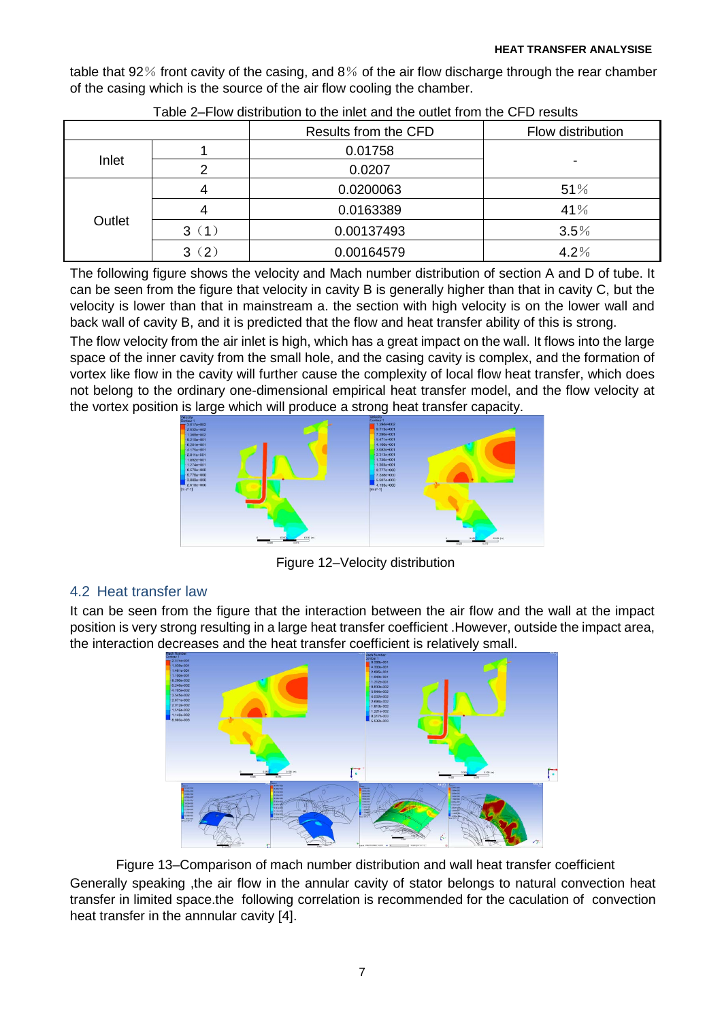table that 92% front cavity of the casing, and 8% of the air flow discharge through the rear chamber of the casing which is the source of the air flow cooling the chamber.

|        |          | Results from the CFD | Flow distribution |
|--------|----------|----------------------|-------------------|
| Inlet  |          | 0.01758              |                   |
|        |          | 0.0207               |                   |
| Outlet |          | 0.0200063            | 51%               |
|        |          | 0.0163389            | 41%               |
|        | 3(1)     | 0.00137493           | 3.5%              |
|        | (2)<br>3 | 0.00164579           | 4.2%              |

| Table 2–Flow distribution to the inlet and the outlet from the CFD results |
|----------------------------------------------------------------------------|
|----------------------------------------------------------------------------|

The following figure shows the velocity and Mach number distribution of section A and D of tube. It can be seen from the figure that velocity in cavity B is generally higher than that in cavity C, but the velocity is lower than that in mainstream a. the section with high velocity is on the lower wall and back wall of cavity B, and it is predicted that the flow and heat transfer ability of this is strong.

The flow velocity from the air inlet is high, which has a great impact on the wall. It flows into the large space of the inner cavity from the small hole, and the casing cavity is complex, and the formation of vortex like flow in the cavity will further cause the complexity of local flow heat transfer, which does not belong to the ordinary one-dimensional empirical heat transfer model, and the flow velocity at the vortex position is large which will produce a strong heat transfer capacity.



Figure 12–Velocity distribution

# 4.2 Heat transfer law

It can be seen from the figure that the interaction between the air flow and the wall at the impact position is very strong resulting in a large heat transfer coefficient .However, outside the impact area, the interaction decreases and the heat transfer coefficient is relatively small.



Figure 13–Comparison of mach number distribution and wall heat transfer coefficient Generally speaking ,the air flow in the annular cavity of stator belongs to natural convection heat transfer in limited space.the following correlation is recommended for the caculation of convection heat transfer in the annnular cavity [4].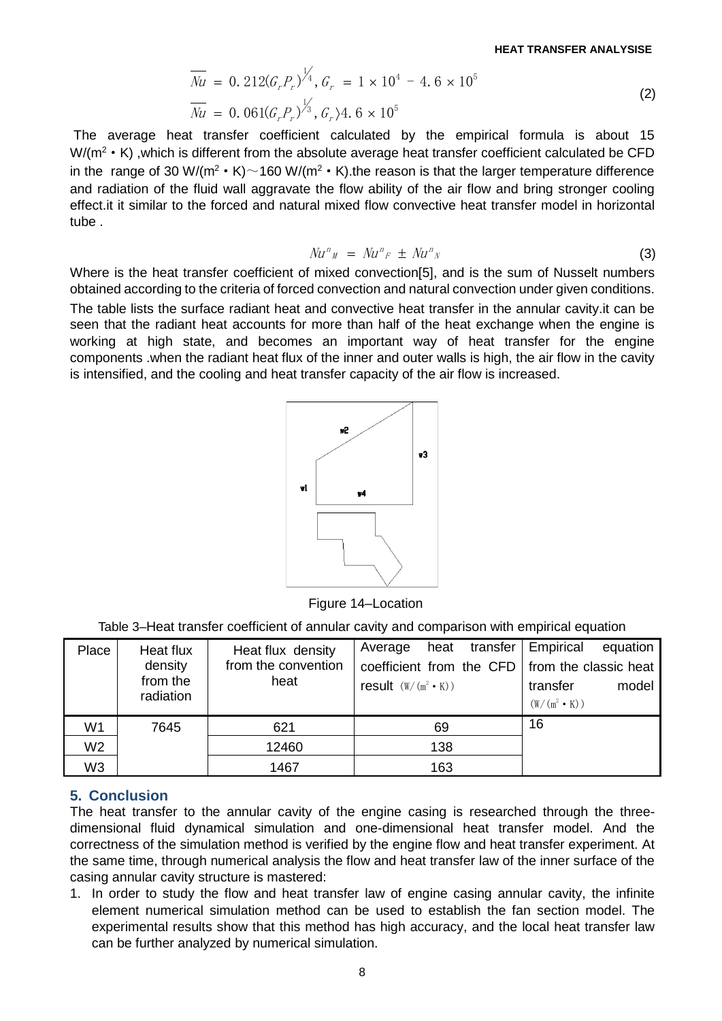$$
\overline{Nu} = 0.212(G_r P_r)^{\frac{1}{4}}, G_r = 1 \times 10^4 - 4.6 \times 10^5
$$
\n
$$
\overline{Nu} = 0.061(G_r P_r)^{\frac{1}{3}}, G_r \rangle 4.6 \times 10^5
$$
\n(2)

The average heat transfer coefficient calculated by the empirical formula is about 15 W/(m<sup>2</sup>  $\cdot$  K) ,which is different from the absolute average heat transfer coefficient calculated be CFD in the range of 30 W/(m<sup>2</sup> • K) $\sim$ 160 W/(m<sup>2</sup> • K).the reason is that the larger temperature difference and radiation of the fluid wall aggravate the flow ability of the air flow and bring stronger cooling effect.it it similar to the forced and natural mixed flow convective heat transfer model in horizontal tube .

$$
Nu^n{}_M = Nu^n{}_F \pm Nu^n{}_N \tag{3}
$$

Where is the heat transfer coefficient of mixed convection[5], and is the sum of Nusselt numbers obtained according to the criteria of forced convection and natural convection under given conditions. The table lists the surface radiant heat and convective heat transfer in the annular cavity.it can be seen that the radiant heat accounts for more than half of the heat exchange when the engine is working at high state, and becomes an important way of heat transfer for the engine components .when the radiant heat flux of the inner and outer walls is high, the air flow in the cavity is intensified, and the cooling and heat transfer capacity of the air flow is increased.



Figure 14–Location

Table 3–Heat transfer coefficient of annular cavity and comparison with empirical equation

| Place          | Heat flux | Heat flux density   | heat transfer   Empirical<br>Average             | equation            |
|----------------|-----------|---------------------|--------------------------------------------------|---------------------|
|                | density   | from the convention | coefficient from the CFD   from the classic heat |                     |
|                | from the  | heat                | result $(W/(m^2 \cdot K))$                       | model<br>transfer   |
|                | radiation |                     |                                                  | $(W/(m^2 \cdot K))$ |
| W <sub>1</sub> | 7645      | 621                 | 69                                               | 16                  |
| W <sub>2</sub> |           | 12460               | 138                                              |                     |
| W <sub>3</sub> |           | 1467                | 163                                              |                     |

### **5. Conclusion**

The heat transfer to the annular cavity of the engine casing is researched through the threedimensional fluid dynamical simulation and one-dimensional heat transfer model. And the correctness of the simulation method is verified by the engine flow and heat transfer experiment. At the same time, through numerical analysis the flow and heat transfer law of the inner surface of the casing annular cavity structure is mastered:

1. In order to study the flow and heat transfer law of engine casing annular cavity, the infinite element numerical simulation method can be used to establish the fan section model. The experimental results show that this method has high accuracy, and the local heat transfer law can be further analyzed by numerical simulation.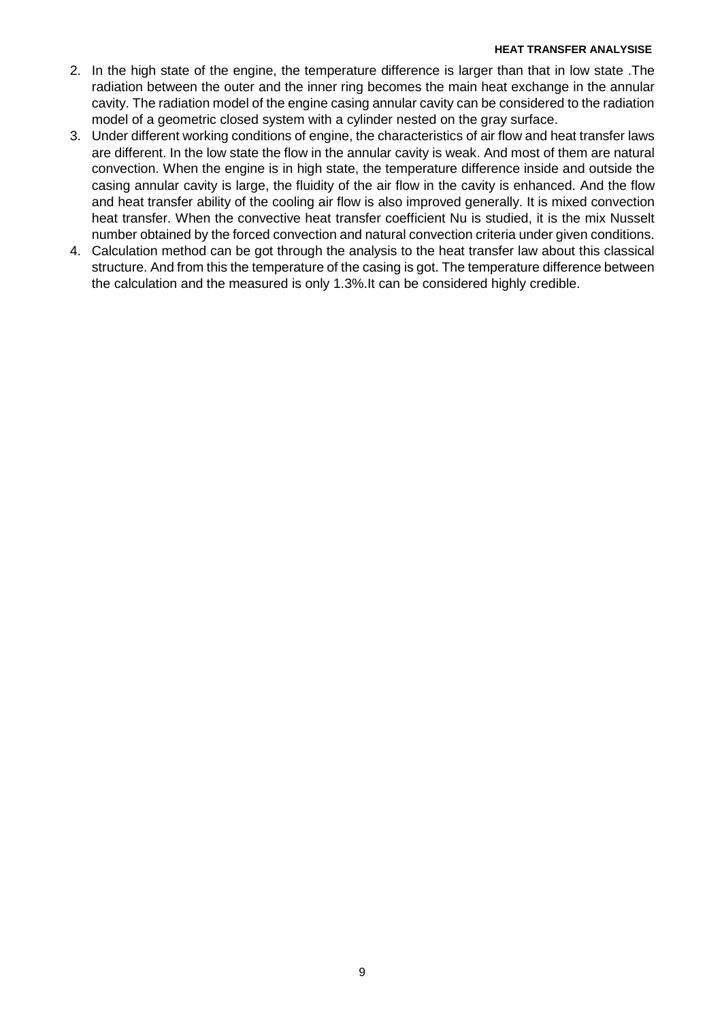#### **HEAT TRANSFER ANALYSISE**

- 2. In the high state of the engine, the temperature difference is larger than that in low state .The radiation between the outer and the inner ring becomes the main heat exchange in the annular cavity. The radiation model of the engine casing annular cavity can be considered to the radiation model of a geometric closed system with a cylinder nested on the gray surface.
- 3. Under different working conditions of engine, the characteristics of air flow and heat transfer laws are different. In the low state the flow in the annular cavity is weak. And most of them are natural convection. When the engine is in high state, the temperature difference inside and outside the casing annular cavity is large, the fluidity of the air flow in the cavity is enhanced. And the flow and heat transfer ability of the cooling air flow is also improved generally. It is mixed convection heat transfer. When the convective heat transfer coefficient Nu is studied, it is the mix Nusselt number obtained by the forced convection and natural convection criteria under given conditions.
- 4. Calculation method can be got through the analysis to the heat transfer law about this classical structure. And from this the temperature of the casing is got. The temperature difference between the calculation and the measured is only 1.3%.It can be considered highly credible.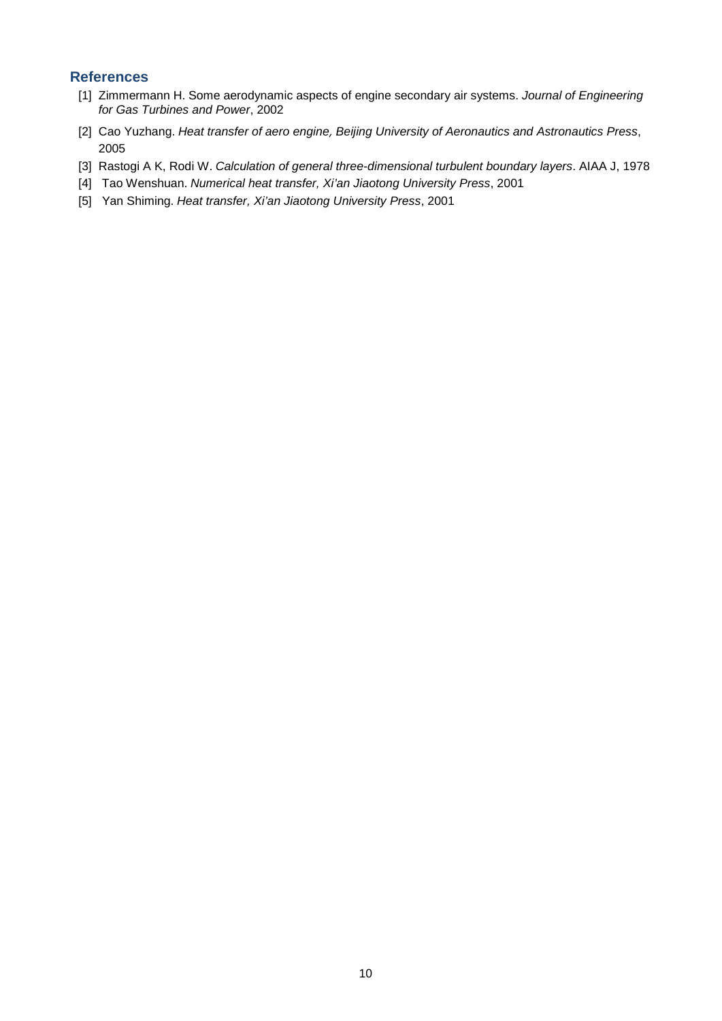### **References**

- [1] Zimmermann H. Some aerodynamic aspects of engine secondary air systems. *Journal of Engineering for Gas Turbines and Power*, 2002
- [2] Cao Yuzhang. *Heat transfer of aero engine*, *Beijing University of Aeronautics and Astronautics Press*, 2005
- [3] Rastogi A K, Rodi W. *Calculation of general three-dimensional turbulent boundary layers*. AIAA J, 1978
- [4] Tao Wenshuan. *Numerical heat transfer, Xi'an Jiaotong University Press*, 2001
- [5] Yan Shiming. *Heat transfer, Xi'an Jiaotong University Press*, 2001